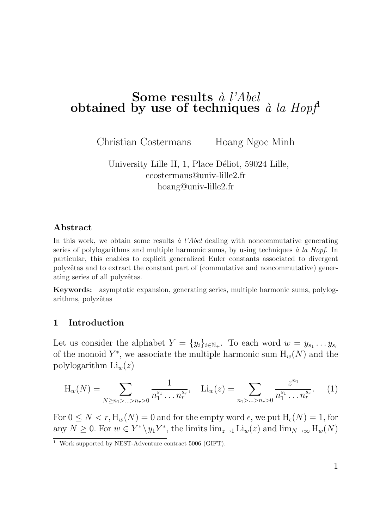# Some results  $\dot{a}$  l'Abel obtained by use of techniques  $\hat{a}$  la Hopf

Christian Costermans Hoang Ngoc Minh

University Lille II, 1, Place Déliot, 59024 Lille, ccostermans@univ-lille2.fr hoang@univ-lille2.fr

#### Abstract

In this work, we obtain some results  $\dot{a}$  l'Abel dealing with noncommutative generating series of polylogarithms and multiple harmonic sums, by using techniques  $\dot{a}$  la Hopf. In particular, this enables to explicit generalized Euler constants associated to divergent polyzêtas and to extract the constant part of (commutative and noncommutative) generating series of all polyzêtas.

Keywords: asymptotic expansion, generating series, multiple harmonic sums, polylogarithms, polyzêtas

## 1 Introduction

Let us consider the alphabet  $Y = \{y_i\}_{i \in \mathbb{N}_+}$ . To each word  $w = y_{s_1} \dots y_{s_r}$ of the monoid  $Y^*$ , we associate the multiple harmonic sum  $H_w(N)$  and the polylogarithm  $\text{Li}_w(z)$ 

$$
H_w(N) = \sum_{N \ge n_1 > \ldots > n_r > 0} \frac{1}{n_1^{s_1} \ldots n_r^{s_r}}, \quad Li_w(z) = \sum_{n_1 > \ldots > n_r > 0} \frac{z^{n_1}}{n_1^{s_1} \ldots n_r^{s_r}}.
$$
 (1)

For  $0 \le N < r$ ,  $H_w(N) = 0$  and for the empty word  $\epsilon$ , we put  $H_{\epsilon}(N) = 1$ , for any  $N \geq 0$ . For  $w \in Y^* \setminus y_1 Y^*$ , the limits  $\lim_{z \to 1} \text{Li}_w(z)$  and  $\lim_{N \to \infty} H_w(N)$ 

 $\frac{1}{1}$  Work supported by NEST-Adventure contract 5006 (GIFT).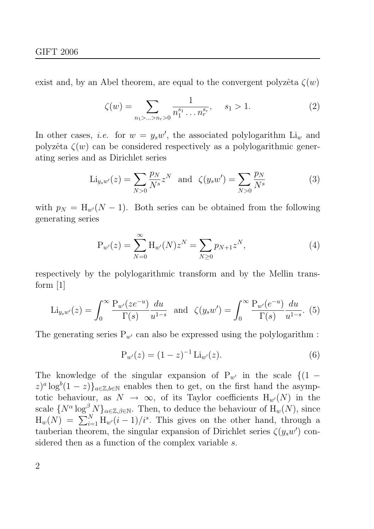exist and, by an Abel theorem, are equal to the convergent polyzêta  $\zeta(w)$ 

$$
\zeta(w) = \sum_{n_1 > \dots > n_r > 0} \frac{1}{n_1^{s_1} \dots n_r^{s_r}}, \quad s_1 > 1.
$$
 (2)

In other cases, *i.e.* for  $w = y_s w'$ , the associated polylogarithm  $Li_w$  and polyzêta  $\zeta(w)$  can be considered respectively as a polylogarithmic generating series and as Dirichlet series

$$
\text{Li}_{y_s w'}(z) = \sum_{N>0} \frac{p_N}{N^s} z^N \text{ and } \zeta(y_s w') = \sum_{N>0} \frac{p_N}{N^s}
$$
 (3)

with  $p_N = H_{w'}(N-1)$ . Both series can be obtained from the following generating series

$$
P_{w'}(z) = \sum_{N=0}^{\infty} H_{w'}(N) z^N = \sum_{N \ge 0} p_{N+1} z^N,
$$
 (4)

respectively by the polylogarithmic transform and by the Mellin transform [1]

$$
\text{Li}_{y_s w'}(z) = \int_0^\infty \frac{\text{P}_{w'}(ze^{-u})}{\Gamma(s)} \frac{du}{u^{1-s}} \text{ and } \zeta(y_s w') = \int_0^\infty \frac{\text{P}_{w'}(e^{-u})}{\Gamma(s)} \frac{du}{u^{1-s}}. (5)
$$

The generating series  $P_{w'}$  can also be expressed using the polylogarithm :

$$
P_{w'}(z) = (1-z)^{-1} Li_{w'}(z).
$$
 (6)

The knowledge of the singular expansion of  $P_{w'}$  in the scale  $\{(1 (z)^a \log^b(1-z) \}_{a \in \mathbb{Z}, b \in \mathbb{N}}$  enables then to get, on the first hand the asymptotic behaviour, as  $N \to \infty$ , of its Taylor coefficients  $H_{w}(N)$  in the scale  $\{N^{\alpha}\log^{\beta} N\}_{\alpha\in\mathbb{Z},\beta\in\mathbb{N}}$ . Then, to deduce the behaviour of  $\mathrm{H}_{w}(N)$ , since  $H_w(N) = \sum_{i=1}^{N} H_{w'}(i-1)/i^s$ . This gives on the other hand, through a tauberian theorem, the singular expansion of Dirichlet series  $\zeta(y_s w')$  considered then as a function of the complex variable s.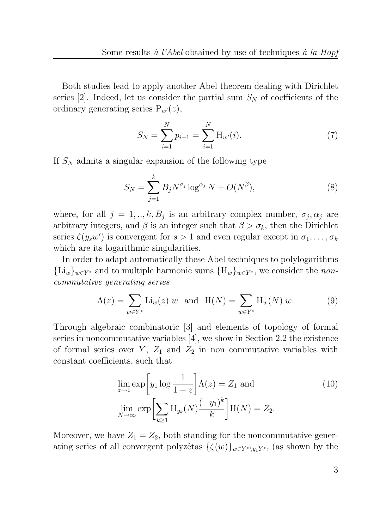Both studies lead to apply another Abel theorem dealing with Dirichlet series [2]. Indeed, let us consider the partial sum  $S_N$  of coefficients of the ordinary generating series  $P_{w}(z)$ ,

$$
S_N = \sum_{i=1}^N p_{i+1} = \sum_{i=1}^N \mathcal{H}_{w'}(i).
$$
 (7)

If  $S_N$  admits a singular expansion of the following type

$$
S_N = \sum_{j=1}^k B_j N^{\sigma_j} \log^{\alpha_j} N + O(N^{\beta}),\tag{8}
$$

where, for all  $j = 1, ..., k, B_j$  is an arbitrary complex number,  $\sigma_j, \alpha_j$  are arbitrary integers, and  $\beta$  is an integer such that  $\beta > \sigma_k$ , then the Dirichlet series  $\zeta(y_sw')$  is convergent for  $s>1$  and even regular except in  $\sigma_1,\ldots,\sigma_k$ which are its logarithmic singularities.

In order to adapt automatically these Abel techniques to polylogarithms  ${L_i}_w\}_{w\in Y^*}$  and to multiple harmonic sums  ${H_w}_w\}_{w\in Y^*}$ , we consider the noncommutative generating series

$$
\Lambda(z) = \sum_{w \in Y^*} \text{Li}_w(z) \ w \text{ and } \text{H}(N) = \sum_{w \in Y^*} \text{H}_w(N) \ w. \tag{9}
$$

Through algebraic combinatoric [3] and elements of topology of formal series in noncommutative variables [4], we show in Section 2.2 the existence of formal series over  $Y$ ,  $Z_1$  and  $Z_2$  in non commutative variables with constant coefficients, such that

$$
\lim_{z \to 1} \exp\left[y_1 \log \frac{1}{1-z}\right] \Lambda(z) = Z_1 \text{ and}
$$
\n
$$
\lim_{N \to \infty} \exp\left[\sum_{k \ge 1} \mathcal{H}_{y_k}(N) \frac{(-y_1)^k}{k}\right] \mathcal{H}(N) = Z_2.
$$
\n(10)

Moreover, we have  $Z_1 = Z_2$ , both standing for the noncommutative generating series of all convergent polyzêtas  $\{\zeta(w)\}_{w\in Y^*\setminus y_1Y^*}$ , (as shown by the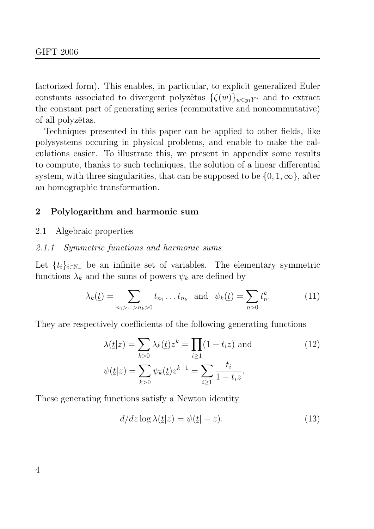factorized form). This enables, in particular, to explicit generalized Euler constants associated to divergent polyzêtas  $\{\zeta(w)\}_{w\in\mathfrak{y}_1Y^*}$  and to extract the constant part of generating series (commutative and noncommutative) of all polyzêtas.

Techniques presented in this paper can be applied to other fields, like polysystems occuring in physical problems, and enable to make the calculations easier. To illustrate this, we present in appendix some results to compute, thanks to such techniques, the solution of a linear differential system, with three singularities, that can be supposed to be  $\{0, 1, \infty\}$ , after an homographic transformation.

## 2 Polylogarithm and harmonic sum

2.1 Algebraic properties

#### 2.1.1 Symmetric functions and harmonic sums

Let  $\{t_i\}_{i\in\mathbb{N}_+}$  be an infinite set of variables. The elementary symmetric functions  $\lambda_k$  and the sums of powers  $\psi_k$  are defined by

$$
\lambda_k(\underline{t}) = \sum_{n_1 > \dots > n_k > 0} t_{n_1} \dots t_{n_k} \text{ and } \psi_k(\underline{t}) = \sum_{n > 0} t_n^k. \tag{11}
$$

They are respectively coefficients of the following generating functions

$$
\lambda(\underline{t}|z) = \sum_{k>0} \lambda_k(\underline{t})z^k = \prod_{i\geq 1} (1+t_iz) \text{ and}
$$
\n
$$
\psi(\underline{t}|z) = \sum_{k>0} \psi_k(\underline{t})z^{k-1} = \sum_{i\geq 1} \frac{t_i}{1-t_iz}.
$$
\n(12)

These generating functions satisfy a Newton identity

$$
d/dz \log \lambda(\underline{t}|z) = \psi(\underline{t}|-z). \tag{13}
$$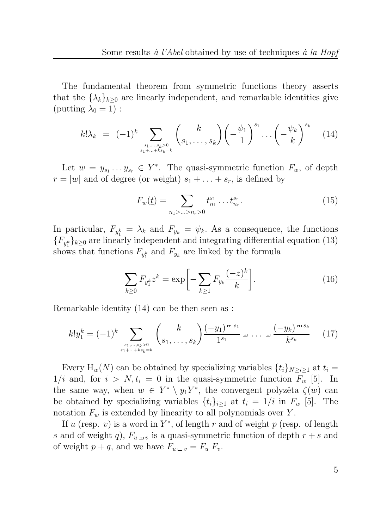The fundamental theorem from symmetric functions theory asserts that the  $\{\lambda_k\}_{k\geq 0}$  are linearly independent, and remarkable identities give (putting  $\lambda_0 = 1$ ) :

$$
k! \lambda_k = (-1)^k \sum_{\substack{s_1, \dots, s_k > 0 \\ s_1 + \dots + ks_k = k}} \binom{k}{s_1, \dots, s_k} \left( -\frac{\psi_1}{1} \right)^{s_1} \dots \left( -\frac{\psi_k}{k} \right)^{s_k} \tag{14}
$$

Let  $w = y_{s_1} \dots y_{s_r} \in Y^*$ . The quasi-symmetric function  $F_w$ , of depth  $r = |w|$  and of degree (or weight)  $s_1 + \ldots + s_r$ , is defined by

$$
F_w(\underline{t}) = \sum_{n_1 > \ldots > n_r > 0} t_{n_1}^{s_1} \ldots t_{n_r}^{s_r}.
$$
 (15)

In particular,  $F_{y_1^k} = \lambda_k$  and  $F_{y_k} = \psi_k$ . As a consequence, the functions  ${F_{y_1^k}}_{k\geq 0}$  are linearly independent and integrating differential equation (13) shows that functions  $F_{y_1^k}$  and  $F_{y_k}$  are linked by the formula

$$
\sum_{k\geq 0} F_{y_1^k} z^k = \exp\bigg[-\sum_{k\geq 1} F_{y_k} \frac{(-z)^k}{k}\bigg].\tag{16}
$$

Remarkable identity (14) can be then seen as :

$$
k!y_1^k = (-1)^k \sum_{\substack{s_1,\dots,s_k>0\\s_1+\dots+ks_k=k}} \binom{k}{s_1,\dots,s_k} \frac{(-y_1)^{\pm s_1}}{1^{s_1}} \pm \dots \pm \frac{(-y_k)^{\pm s_k}}{k^{s_k}} \qquad (17)
$$

Every H<sub>w</sub>(N) can be obtained by specializing variables  $\{t_i\}_{N>i>1}$  at  $t_i =$  $1/i$  and, for  $i > N$ ,  $t_i = 0$  in the quasi-symmetric function  $F_w$  [5]. In the same way, when  $w \in Y^* \setminus y_1 Y^*$ , the convergent polyzêta  $\zeta(w)$  can be obtained by specializing variables  $\{t_i\}_{i\geq 1}$  at  $t_i = 1/i$  in  $F_w$  [5]. The notation  $F_w$  is extended by linearity to all polynomials over Y.

If u (resp. v) is a word in  $Y^*$ , of length r and of weight p (resp. of length s and of weight q),  $F_{u \leftrightarrow v}$  is a quasi-symmetric function of depth  $r + s$  and of weight  $p + q$ , and we have  $F_{u \leftrightarrow v} = F_u F_v$ .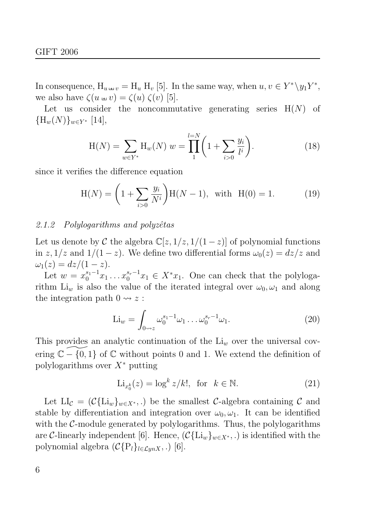In consequence,  $H_{u \mu v} = H_u H_v [5]$ . In the same way, when  $u, v \in Y^* \backslash y_1 Y^*$ , we also have  $\zeta(u \oplus v) = \zeta(u) \zeta(v)$  [5].

Let us consider the noncommutative generating series  $H(N)$  of  ${H_w(N)}_{w\in Y^*}$  [14],

$$
H(N) = \sum_{w \in Y^*} H_w(N) w = \prod_1^{l=N} \left( 1 + \sum_{i>0} \frac{y_i}{l^i} \right).
$$
 (18)

since it verifies the difference equation

$$
H(N) = \left(1 + \sum_{i>0} \frac{y_i}{N^i}\right) H(N-1), \text{ with } H(0) = 1.
$$
 (19)

#### 2.1.2 Polylogarithms and polyzêtas

Let us denote by C the algebra  $\mathbb{C}[z, 1/z, 1/(1-z)]$  of polynomial functions in z,  $1/z$  and  $1/(1-z)$ . We define two differential forms  $\omega_0(z) = dz/z$  and  $\omega_1(z) = dz/(1-z).$ 

Let  $w = x_0^{s_1-1}x_1 \ldots x_0^{s_r-1}x_1 \in X^*x_1$ . One can check that the polylogarithm Li<sub>w</sub> is also the value of the iterated integral over  $\omega_0, \omega_1$  and along the integration path  $0 \rightsquigarrow z$ :

$$
\mathrm{Li}_w = \int_{0 \sim z} \omega_0^{s_1 - 1} \omega_1 \dots \omega_0^{s_r - 1} \omega_1. \tag{20}
$$

This provides an analytic continuation of the  $Li<sub>w</sub>$  over the universal covering  $\mathbb{C} - \{0, 1\}$  of  $\mathbb C$  without points 0 and 1. We extend the definition of polylogarithms over  $X^*$  putting

$$
\text{Li}_{x_0^k}(z) = \log^k z / k!, \text{ for } k \in \mathbb{N}.
$$
 (21)

Let  $LI_{\mathcal{C}} = (\mathcal{C}\{\text{Li}_{w}\}_{w\in X^*},.)$  be the smallest C-algebra containing C and stable by differentiation and integration over  $\omega_0, \omega_1$ . It can be identified with the  $C$ -module generated by polylogarithms. Thus, the polylogarithms are C-linearly independent [6]. Hence,  $(\mathcal{C}\{\text{Li}_w\}_{w\in X^*},.)$  is identified with the polynomial algebra  $(C{P_l}_{l\in{\mathcal Lyn} X},.)$  [6].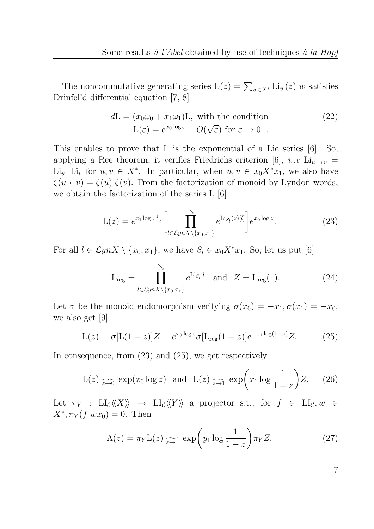The noncommutative generating series  $L(z) = \sum_{w \in X^*} Li_w(z) w$  satisfies Drinfel'd differential equation [7, 8]

$$
d\mathcal{L} = (x_0\omega_0 + x_1\omega_1)\mathcal{L}, \text{ with the condition}
$$
  

$$
\mathcal{L}(\varepsilon) = e^{x_0 \log \varepsilon} + O(\sqrt{\varepsilon}) \text{ for } \varepsilon \to 0^+.
$$
 (22)

This enables to prove that L is the exponential of a Lie series [6]. So, applying a Ree theorem, it verifies Friedrichs criterion [6], *i.e* Li<sub>u  $\mu$ </sub> =  $\text{Li}_u$  Li<sub>v</sub> for  $u, v \in X^*$ . In particular, when  $u, v \in x_0 X^* x_1$ , we also have  $\zeta(u \sqcup v) = \zeta(u) \zeta(v)$ . From the factorization of monoid by Lyndon words, we obtain the factorization of the series L [6] :

$$
L(z) = e^{x_1 \log \frac{1}{1-z}} \left[ \prod_{l \in \mathcal{L}ynX \setminus \{x_0, x_1\}} e^{Lis_l(z)[l]} \right] e^{x_0 \log z}.
$$
 (23)

For all  $l \in \mathcal{L}ynX \setminus \{x_0, x_1\}$ , we have  $S_l \in x_0X^*x_1$ . So, let us put [6]

$$
L_{reg} = \prod_{l \in \mathcal{L}ynX \setminus \{x_0, x_1\}}^{\searrow} e^{Li_{S_l}[l]} \quad \text{and} \quad Z = L_{reg}(1). \tag{24}
$$

Let  $\sigma$  be the monoid endomorphism verifying  $\sigma(x_0) = -x_1, \sigma(x_1) = -x_0$ , we also get [9]

$$
L(z) = \sigma [L(1-z)]Z = e^{x_0 \log z} \sigma [L_{reg}(1-z)]e^{-x_1 \log(1-z)}Z.
$$
 (25)

In consequence, from (23) and (25), we get respectively

$$
L(z) \underset{z \to 0}{\sim} \exp(x_0 \log z) \text{ and } L(z) \underset{z \to 1}{\sim} \exp\left(x_1 \log \frac{1}{1-z}\right)Z. \quad (26)
$$

Let  $\pi_Y$  : LI $_{\mathcal{C}}\langle\langle X\rangle\rangle \rightarrow$  LI $_{\mathcal{C}}\langle\langle Y\rangle\rangle$  a projector s.t., for  $f \in$  LI $_{\mathcal{C}}$ ,  $w \in$  $X^*, \pi_Y(f \ w x_0) = 0.$  Then

$$
\Lambda(z) = \pi_Y \mathcal{L}(z) \underset{z \to 1}{\sim} \exp\left(y_1 \log \frac{1}{1-z}\right) \pi_Y Z. \tag{27}
$$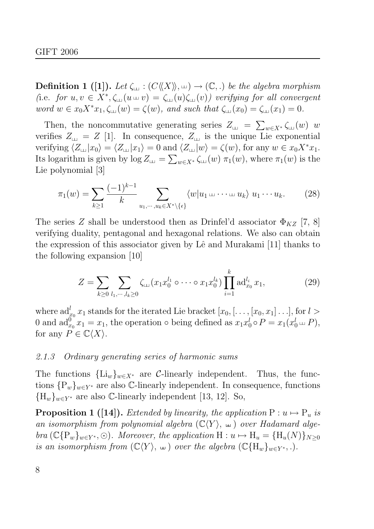**Definition 1** ([1]). Let  $\zeta_{\perp}: (C\langle\langle X\rangle\rangle, \perp) \to (\mathbb{C}, .)$  be the algebra morphism (i.e. for  $u, v \in X^*, \zeta_{\text{in}}(u \text{ in } v) = \zeta_{\text{in}}(u)\zeta_{\text{in}}(v)$ ) verifying for all convergent word  $w \in x_0 X^* x_1, \zeta_\sqcup(w) = \zeta(w)$ , and such that  $\zeta_\sqcup(x_0) = \zeta_\sqcup(x_1) = 0$ .

Then, the noncommutative generating series  $Z_{\text{L} \text{L}} = \sum_{w \in X^*} \zeta_{\text{L} \text{L}}(w)$  w verifies  $Z_{\mu} = Z$  [1]. In consequence,  $Z_{\mu}$  is the unique Lie exponential verifying  $\langle Z_{\text{L}} |x_0 \rangle = \langle Z_{\text{L}} |x_1 \rangle = 0$  and  $\langle Z_{\text{L}} |w \rangle = \zeta(w)$ , for any  $w \in x_0 X^* x_1$ . Its logarithm is given by  $\log Z_{\text{L}t} = \sum_{w \in X^*} \zeta_{\text{L}t}(w) \pi_1(w)$ , where  $\pi_1(w)$  is the Lie polynomial [3]

$$
\pi_1(w) = \sum_{k \ge 1} \frac{(-1)^{k-1}}{k} \sum_{u_1, \cdots, u_k \in X^* \setminus \{\epsilon\}} \langle w | u_1 \sqcup \cdots \sqcup u_k \rangle u_1 \cdots u_k. \tag{28}
$$

The series Z shall be understood then as Drinfel'd associator  $\Phi_{KZ}$  [7, 8] verifying duality, pentagonal and hexagonal relations. We also can obtain the expression of this associator given by Lê and Murakami [11] thanks to the following expansion [10]

$$
Z = \sum_{k \ge 0} \sum_{l_1, \dots, l_k \ge 0} \zeta_{\text{L}}(x_1 x_0^{l_1} \circ \dots \circ x_1 x_0^{l_k}) \prod_{i=1}^k \text{ad}_{x_0}^{l_i} x_1,\tag{29}
$$

where  $\mathrm{ad}_{x_0}^l x_1$  stands for the iterated Lie bracket  $[x_0, [\ldots, [x_0, x_1] \ldots],$  for  $l >$ 0 and  $ad_{x_0}^{0^{\circ}} x_1 = x_1$ , the operation  $\circ$  being defined as  $x_1 x_0^l \circ P = x_1(x_0^l)$  $i_0^l \sqcup P$ ), for any  $P \in \mathbb{C}\langle X \rangle$ .

#### 2.1.3 Ordinary generating series of harmonic sums

The functions  ${\{\text{Li}_w\}}_{w\in X^*}$  are C-linearly independent. Thus, the functions  $\{P_w\}_{w\in Y^*}$  are also C-linearly independent. In consequence, functions  ${H_w}_{w \in Y^*}$  are also C-linearly independent [13, 12]. So,

**Proposition 1** ([14]). Extended by linearity, the application  $P: u \mapsto P_u$  is an isomorphism from polynomial algebra  $(\mathbb{C}\langle Y \rangle, \perp)$  over Hadamard algebra  $(\mathbb{C}\{P_w\}_{w\in Y^*}, \odot)$ . Moreover, the application  $H: u \mapsto H_u = \{H_u(N)\}_{N\geq 0}$ is an isomorphism from  $(\mathbb{C}\langle Y\rangle, \Box)$  over the algebra  $(\mathbb{C}\lbrace H_w\rbrace_{w\in Y^*}, .).$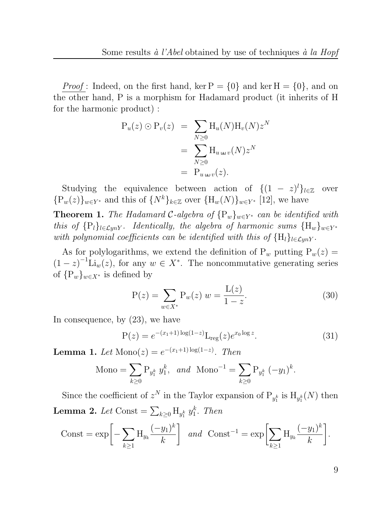*Proof*: Indeed, on the first hand, ker  $P = \{0\}$  and ker  $H = \{0\}$ , and on the other hand, P is a morphism for Hadamard product (it inherits of H for the harmonic product) :

$$
P_u(z) \odot P_v(z) = \sum_{N \ge 0} H_u(N) H_v(N) z^N
$$
  
= 
$$
\sum_{N \ge 0} H_{u \leftrightarrow v}(N) z^N
$$
  
= 
$$
P_{u \leftrightarrow v}(z).
$$

Studying the equivalence between action of  $\{(1 - z)^l\}_{l \in \mathbb{Z}}$  over  ${P_w(z)}_{w\in Y^*}$  and this of  ${N^k}_{k\in\mathbb{Z}}$  over  ${H_w(N)}_{w\in Y^*}$  [12], we have

**Theorem 1.** The Hadamard C-algebra of  $\{P_w\}_{w\in Y^*}$  can be identified with this of  $\{P_l\}_{l\in{\mathcal Lyn} Y}$ . Identically, the algebra of harmonic sums  $\{H_w\}_{w\in Y^*}$ with polynomial coefficients can be identified with this of  ${H_l}_{l \in \mathcal{L}unY}$ .

As for polylogarithms, we extend the definition of  $P_w$  putting  $P_w(z)$  =  $(1-z)^{-1}$ Li<sub>w</sub> $(z)$ , for any  $w \in X^*$ . The noncommutative generating series of  $\{P_w\}_{w\in X^*}$  is defined by

$$
P(z) = \sum_{w \in X^*} P_w(z) w = \frac{L(z)}{1 - z}.
$$
 (30)

In consequence, by (23), we have

$$
P(z) = e^{-(x_1+1)\log(1-z)} L_{reg}(z) e^{x_0 \log z}.
$$
 (31)

**Lemma 1.** Let  $\text{Mono}(z) = e^{-(x_1+1)\log(1-z)}$ . Then

$$
\text{Mono} = \sum_{k \ge 0} \mathbf{P}_{y_1^k} y_1^k, \ \text{and} \ \text{Mono}^{-1} = \sum_{k \ge 0} \mathbf{P}_{y_1^k} (-y_1)^k.
$$

Since the coefficient of  $z^N$  in the Taylor expansion of  $P_{y_1^k}$  is  $H_{y_1^k}(N)$  then **Lemma 2.** Let  $\text{Const} = \sum_{k\geq 0} \mathbf{H}_{y_1^k} y_1^k$  $n_1^k$ . Then

$$
\text{Const} = \exp\bigg[-\sum_{k\geq 1} H_{y_k} \frac{(-y_1)^k}{k} \bigg] \quad and \quad \text{Const}^{-1} = \exp\bigg[\sum_{k\geq 1} H_{y_k} \frac{(-y_1)^k}{k} \bigg].
$$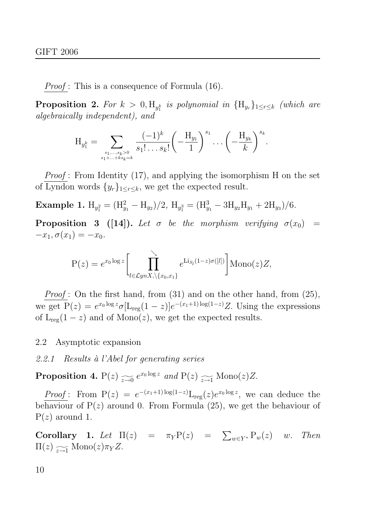Proof : This is a consequence of Formula (16).

**Proposition 2.** For  $k > 0$ ,  $H_{y_1^k}$  is polynomial in  $\{H_{y_r}\}_{1 \leq r \leq k}$  (which are algebraically independent), and

$$
H_{y_1^k} = \sum_{\substack{s_1,\ldots,s_k>0\\s_1+\ldots+ks_k=k}} \frac{(-1)^k}{s_1!\ldots s_k!} \left(-\frac{H_{y_1}}{1}\right)^{s_1} \ldots \left(-\frac{H_{y_k}}{k}\right)^{s_k}.
$$

Proof: From Identity (17), and applying the isomorphism H on the set of Lyndon words  $\{y_r\}_{1 \leq r \leq k}$ , we get the expected result.

Example 1.  $H_{y_1^2} = (H_{y_1}^2 - H_{y_2})/2$ ,  $H_{y_1^3} = (H_{y_1}^3 - 3H_{y_2}H_{y_1} + 2H_{y_3})/6$ .

**Proposition 3** ([14]). Let  $\sigma$  be the morphism verifying  $\sigma(x_0)$  =  $-x_1, \sigma(x_1) = -x_0.$ 

$$
P(z) = e^{x_0 \log z} \left[ \prod_{l \in \mathcal{L}ynX, \setminus \{x_0, x_1\}}^{\setminus} e^{\text{Li}_{S_l}(1-z)\sigma([l])} \right] \text{Mono}(z) Z,
$$

Proof: On the first hand, from (31) and on the other hand, from (25), we get  $P(z) = e^{x_0 \log z} \sigma[L_{reg}(1-z)] e^{-(x_1+1) \log(1-z)} Z$ . Using the expressions of  $L_{reg}(1-z)$  and of  $Mono(z)$ , we get the expected results.

#### 2.2 Asymptotic expansion

## 2.2.1 Results à l'Abel for generating series

**Proposition 4.**  $P(z) \nightharpoonup_{z \to 0} e^{x_0 \log z}$  and  $P(z) \nightharpoonup_{z \to 1} \text{Mono}(z)Z$ .

*Proof*: From  $P(z) = e^{-(x_1+1)\log(1-z)} L_{reg}(z) e^{x_0 \log z}$ , we can deduce the behaviour of  $P(z)$  around 0. From Formula (25), we get the behaviour of  $P(z)$  around 1.

**Corollary 1.** Let  $\Pi(z) = \pi_Y P(z) = \sum_{w \in Y^*} P_w(z)$  w. Then  $\Pi(z) \sum_{z \to 1} \text{Mono}(z) \pi_Y Z.$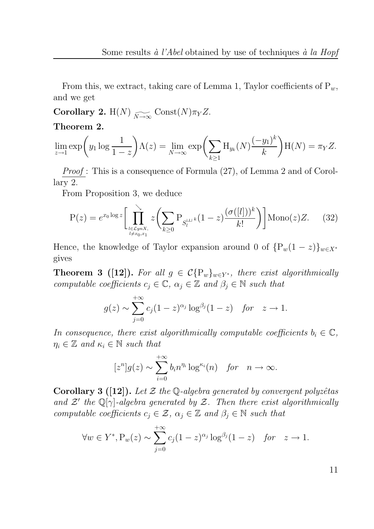From this, we extract, taking care of Lemma 1, Taylor coefficients of  $P_w$ , and we get

 ${\bf Corollary\ 2.}\ \mathrm{H}(N) \underset{N\rightarrow\infty}{\sim} \mathrm{Const}(N)\pi_Y Z.$ 

#### Theorem 2.

$$
\lim_{z \to 1} \exp\left(y_1 \log \frac{1}{1-z}\right) \Lambda(z) = \lim_{N \to \infty} \exp\left(\sum_{k \ge 1} H_{y_k}(N) \frac{(-y_1)^k}{k}\right) H(N) = \pi_Y Z.
$$

Proof: This is a consequence of Formula  $(27)$ , of Lemma 2 and of Corollary 2.

From Proposition 3, we deduce

$$
P(z) = e^{x_0 \log z} \left[ \prod_{\substack{l \in \mathcal{L}ynX, \\ l \neq x_0, x_1}}^{\infty} z \left( \sum_{k \ge 0} P_{S_l^{\perp \perp k}} (1 - z) \frac{(\sigma([l]))^k}{k!} \right) \right] \text{Mono}(z) Z. \tag{32}
$$

Hence, the knowledge of Taylor expansion around 0 of  $\{P_w(1-z)\}_{w\in X^*}$ gives

**Theorem 3 ([12]).** For all  $g \in C\{\mathcal{P}_w\}_{w\in Y^*}$ , there exist algorithmically computable coefficients  $c_j \in \mathbb{C}$ ,  $\alpha_j \in \mathbb{Z}$  and  $\beta_j \in \mathbb{N}$  such that

$$
g(z) \sim \sum_{j=0}^{+\infty} c_j (1-z)^{\alpha_j} \log^{\beta_j} (1-z) \quad \text{for} \quad z \to 1.
$$

In consequence, there exist algorithmically computable coefficients  $b_i \in \mathbb{C}$ ,  $\eta_i \in \mathbb{Z}$  and  $\kappa_i \in \mathbb{N}$  such that

$$
[z^n]g(z) \sim \sum_{i=0}^{+\infty} b_i n^{\eta_i} \log^{\kappa_i}(n) \quad \text{for} \quad n \to \infty.
$$

**Corollary 3** ([12]). Let  $\mathcal{Z}$  the Q-algebra generated by convergent polyzêtas and  $\mathcal{Z}'$  the Q[ $\gamma$ ]-algebra generated by  $\mathcal{Z}$ . Then there exist algorithmically computable coefficients  $c_j \in \mathcal{Z}$ ,  $\alpha_j \in \mathbb{Z}$  and  $\beta_j \in \mathbb{N}$  such that

$$
\forall w \in Y^*, \mathcal{P}_w(z) \sim \sum_{j=0}^{+\infty} c_j (1-z)^{\alpha_j} \log^{\beta_j} (1-z) \quad \text{for} \quad z \to 1.
$$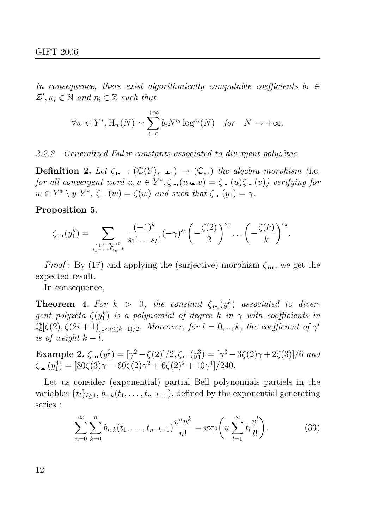In consequence, there exist algorithmically computable coefficients  $b_i \in$  $\mathcal{Z}', \kappa_i \in \mathbb{N}$  and  $\eta_i \in \mathbb{Z}$  such that

$$
\forall w \in Y^*, \text{H}_w(N) \sim \sum_{i=0}^{+\infty} b_i N^{\eta_i} \log^{\kappa_i}(N) \quad \text{for} \quad N \to +\infty.
$$

2.2.2 Generalized Euler constants associated to divergent polyzêtas

**Definition 2.** Let  $\zeta_{\text{in}} : (\mathbb{C}\langle Y \rangle, \mathbb{H}) \to (\mathbb{C},.)$  the algebra morphism (i.e. for all convergent word  $u, v \in Y^*, \zeta_{\text{in}}(u \text{ in } v) = \zeta_{\text{in}}(u)\zeta_{\text{in}}(v)$  verifying for  $w \in Y^* \setminus y_1Y^*, \ \zeta_{\text{un}}(w) = \zeta(w) \ \text{and such that } \zeta_{\text{un}}(y_1) = \gamma.$ 

Proposition 5.

$$
\zeta_{\pm 1}(y_1^k) = \sum_{\substack{s_1,\ldots,s_k > 0 \\ s_1 + \ldots + ks_k = k}} \frac{(-1)^k}{s_1! \ldots s_k!} (-\gamma)^{s_1} \left(-\frac{\zeta(2)}{2}\right)^{s_2} \ldots \left(-\frac{\zeta(k)}{k}\right)^{s_k}.
$$

*Proof*: By (17) and applying the (surjective) morphism  $\zeta_{\mu}$ , we get the expected result.

In consequence,

**Theorem 4.** For  $k > 0$ , the constant  $\zeta_{\mu\nu}(y_1^k)$  $\binom{k}{1}$  associated to divergent polyzêta  $\zeta(y_1^k)$  $\binom{k}{1}$  is a polynomial of degree k in  $\gamma$  with coefficients in  $\mathbb{Q}[\zeta(2), \zeta(2i+1)]_{0 \le i \le (k-1)/2}$ . Moreover, for  $l = 0, ..., k$ , the coefficient of  $\gamma^l$ is of weight  $k - l$ .

Example 2.  $\zeta_{\nleftrightarrow}(y_1^2)$  $\binom{2}{1} = \frac{\gamma^2 - \zeta(2)}{2, \zeta}$  (y<sub>1</sub><sup>3</sup>)  $S_1^3$ ) =  $[\gamma^3 - 3\zeta(2)\gamma + 2\zeta(3)]/6$  and  $\zeta_{\text{H}}(y_1^4)$  $\zeta_1^4$ ) = [80 $\zeta(3)\gamma - 60\zeta(2)\gamma^2 + 6\zeta(2)^2 + 10\gamma^4$ ]/240.

Let us consider (exponential) partial Bell polynomials partiels in the variables  $\{t_l\}_{l>1}, b_{n,k}(t_1, \ldots, t_{n-k+1})$ , defined by the exponential generating series :

$$
\sum_{n=0}^{\infty} \sum_{k=0}^{n} b_{n,k}(t_1, \dots, t_{n-k+1}) \frac{v^n u^k}{n!} = \exp\left(u \sum_{l=1}^{\infty} t_l \frac{v^l}{l!}\right).
$$
 (33)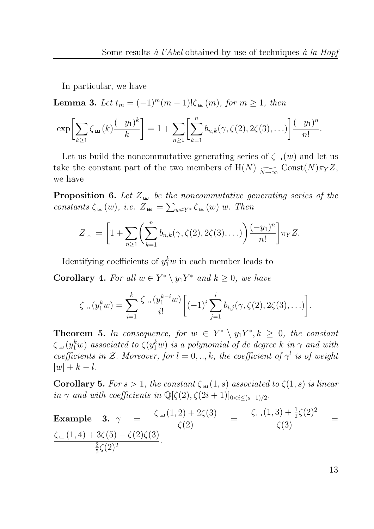In particular, we have

**Lemma 3.** Let  $t_m = (-1)^m(m-1)!\zeta_{\mu}(m)$ , for  $m \ge 1$ , then

$$
\exp\biggl[\sum_{k\geq 1}\zeta_{\mu}(k)\frac{(-y_1)^k}{k}\biggr]=1+\sum_{n\geq 1}\biggl[\sum_{k=1}^n b_{n,k}(\gamma,\zeta(2),2\zeta(3),\ldots)\biggr]\frac{(-y_1)^n}{n!}.
$$

Let us build the noncommutative generating series of  $\zeta_{\text{H}}(w)$  and let us take the constant part of the two members of  $H(N) \xrightarrow[N \to \infty]{} \text{Const}(N)\pi_Y Z$ , we have

**Proposition 6.** Let  $Z_{\mu}$  be the noncommutative generating series of the constants  $\zeta_{\mu}(w)$ , i.e.  $Z_{\mu\nu} = \sum_{w \in Y^*} \zeta_{\mu\nu}(w) w$ . Then

$$
Z_{\mu} = \left[1 + \sum_{n \geq 1} \left(\sum_{k=1}^n b_{n,k}(\gamma, \zeta(2), 2\zeta(3), \ldots)\right) \frac{(-y_1)^n}{n!} \right] \pi_Y Z.
$$

Identifying coefficients of  $y_1^k w$  in each member leads to

**Corollary 4.** For all  $w \in Y^* \setminus y_1Y^*$  and  $k \geq 0$ , we have

$$
\zeta_{\mu\nu}(y_1^k w) = \sum_{i=1}^k \frac{\zeta_{\mu\nu}(y_1^{k-i} w)}{i!} \bigg[ (-1)^i \sum_{j=1}^i b_{i,j}(\gamma, \zeta(2), 2\zeta(3), \ldots) \bigg].
$$

**Theorem 5.** In consequence, for  $w \in Y^* \setminus y_1Y^*, k \geq 0$ , the constant  $\zeta_{\scriptscriptstyle (\pm)}(y_1^kw)$  associated to  $\zeta(y_1^kw)$  is a polynomial of de degree  $k$  in  $\gamma$  and with coefficients in Z. Moreover, for  $l = 0, ..., k$ , the coefficient of  $\gamma^l$  is of weight  $|w| + k - l$ .

Corollary 5. For  $s > 1$ , the constant  $\zeta_{\pm}(1, s)$  associated to  $\zeta(1, s)$  is linear in  $\gamma$  and with coefficients in  $\mathbb{Q}[\zeta(2), \zeta(2i+1)]_{0 \le i \le (s-1)/2}$ .

Example 3. 
$$
\gamma = \frac{\zeta_{\pm}(1,2) + 2\zeta(3)}{\zeta(2)} = \frac{\zeta_{\pm}(1,3) + \frac{1}{2}\zeta(2)^2}{\zeta(3)} = \frac{\zeta_{\pm}(1,3) + \frac{1}{2}\zeta(2)^2}{\zeta(3)} = \frac{\zeta_{\pm}(1,4) + 3\zeta(5) - \zeta(2)\zeta(3)}{\frac{2}{5}\zeta(2)^2}
$$
.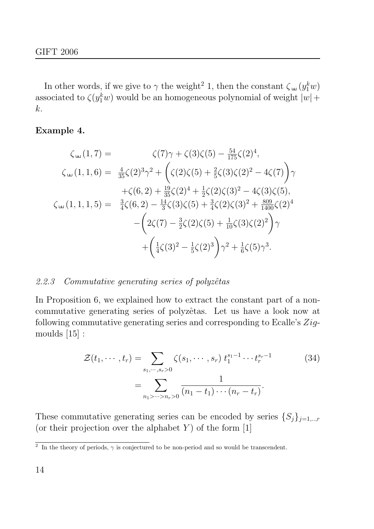In other words, if we give to  $\gamma$  the weight<sup>2</sup> 1, then the constant  $\zeta_{\mu\nu}(y_1^kw)$ associated to  $\zeta(y_1^kw)$  would be an homogeneous polynomial of weight  $|w|$  + k.

# Example 4.

$$
\zeta_{\mu}(1,7) = \zeta(7)\gamma + \zeta(3)\zeta(5) - \frac{54}{175}\zeta(2)^4,
$$
  

$$
\zeta_{\mu}(1,1,6) = \frac{4}{35}\zeta(2)^3\gamma^2 + \left(\zeta(2)\zeta(5) + \frac{2}{5}\zeta(3)\zeta(2)^2 - 4\zeta(7)\right)\gamma
$$
  

$$
+ \zeta(6,2) + \frac{19}{35}\zeta(2)^4 + \frac{1}{2}\zeta(2)\zeta(3)^2 - 4\zeta(3)\zeta(5),
$$
  

$$
\zeta_{\mu}(1,1,1,5) = \frac{3}{4}\zeta(6,2) - \frac{14}{3}\zeta(3)\zeta(5) + \frac{3}{4}\zeta(2)\zeta(3)^2 + \frac{809}{1400}\zeta(2)^4 - \left(2\zeta(7) - \frac{3}{2}\zeta(2)\zeta(5) + \frac{1}{10}\zeta(3)\zeta(2)^2\right)\gamma
$$
  

$$
+ \left(\frac{1}{4}\zeta(3)^2 - \frac{1}{5}\zeta(2)^3\right)\gamma^2 + \frac{1}{6}\zeta(5)\gamma^3.
$$

# 2.2.3 Commutative generating series of polyzêtas

In Proposition 6, we explained how to extract the constant part of a noncommutative generating series of polyzêtas. Let us have a look now at following commutative generating series and corresponding to Ecalle's  $Zig$ moulds [15] :

$$
\mathcal{Z}(t_1, \cdots, t_r) = \sum_{s_1, \cdots, s_r > 0} \zeta(s_1, \cdots, s_r) t_1^{s_1 - 1} \cdots t_r^{s_r - 1}
$$
\n
$$
= \sum_{n_1 > \cdots > n_r > 0} \frac{1}{(n_1 - t_1) \cdots (n_r - t_r)}.
$$
\n(34)

These commutative generating series can be encoded by series  $\{S_j\}_{j=1,\dots,r}$ (or their projection over the alphabet  $Y$ ) of the form [1]

<sup>&</sup>lt;sup>2</sup> In the theory of periods,  $\gamma$  is conjectured to be non-period and so would be transcendent.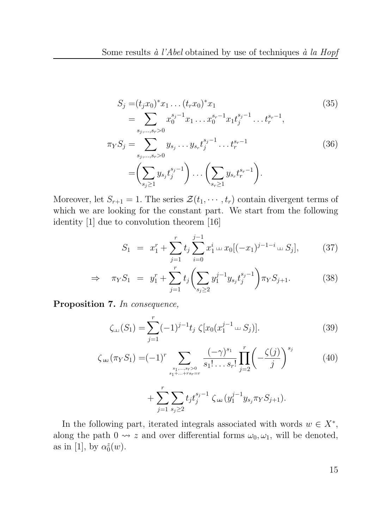$$
S_j = (t_j x_0)^* x_1 \dots (t_r x_0)^* x_1
$$
\n
$$
= \sum_{s_j, \dots, s_r > 0} x_0^{s_j - 1} x_1 \dots x_0^{s_r - 1} x_1 t_j^{s_j - 1} \dots t_r^{s_r - 1},
$$
\n
$$
\pi_Y S_j = \sum_{s_j, \dots, s_r > 0} y_{s_j} \dots y_{s_r} t_j^{s_j - 1} \dots t_r^{s_r - 1}
$$
\n
$$
= \left(\sum_{s_j \ge 1} y_{s_j} t_j^{s_j - 1}\right) \dots \left(\sum_{s_r \ge 1} y_{s_r} t_r^{s_r - 1}\right).
$$
\n(36)

Moreover, let  $S_{r+1} = 1$ . The series  $\mathcal{Z}(t_1, \dots, t_r)$  contain divergent terms of which we are looking for the constant part. We start from the following identity [1] due to convolution theorem [16]

$$
S_1 = x_1^r + \sum_{j=1}^r t_j \sum_{i=0}^{j-1} x_1^i \log[(-x_1)^{j-1-i} \log S_j], \qquad (37)
$$

$$
\Rightarrow \quad \pi_Y S_1 \ = \ y_1^r + \sum_{j=1}^r t_j \left( \sum_{s_j \ge 2} y_1^{j-1} y_{s_j} t_j^{s_j - 1} \right) \pi_Y S_{j+1}.
$$
 (38)

Proposition 7. In consequence,

$$
\zeta_{\text{L}}(S_1) = \sum_{j=1}^r (-1)^{j-1} t_j \zeta [x_0(x_1^{j-1} \sqcup S_j)]. \tag{39}
$$

$$
\zeta_{\text{th}}(\pi_Y S_1) = (-1)^r \sum_{\substack{s_1, \dots, s_r > 0 \\ s_1 + \dots + rs_r = r}} \frac{(-\gamma)^{s_1}}{s_1! \dots s_r!} \prod_{j=2}^r \left( -\frac{\zeta(j)}{j} \right)^{s_j} \tag{40}
$$

+ X r j=1 X sj≥2 tj t sj−1 j ζ (y j−1 1 y<sup>s</sup>jπ<sup>Y</sup> Sj+1).

In the following part, iterated integrals associated with words  $w \in X^*$ , along the path  $0 \rightarrow z$  and over differential forms  $\omega_0, \omega_1$ , will be denoted, as in [1], by  $\alpha_0^z$  $\stackrel{z}{0}(w).$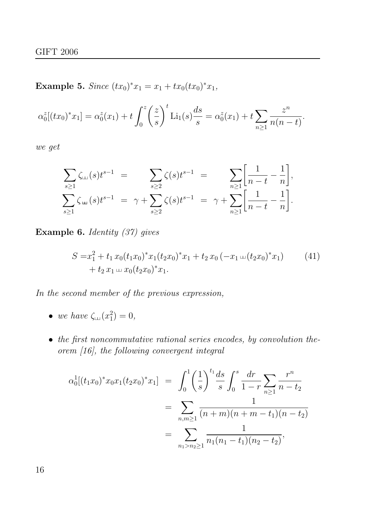Example 5. Since  $(tx_0)^*x_1 = x_1 + tx_0(tx_0)^*x_1$ ,

$$
\alpha_0^z[(tx_0)^*x_1] = \alpha_0^z(x_1) + t \int_0^z \left(\frac{z}{s}\right)^t \mathrm{Li}_1(s) \frac{ds}{s} = \alpha_0^z(x_1) + t \sum_{n \ge 1} \frac{z^n}{n(n-t)}.
$$

we get

$$
\sum_{s\geq 1} \zeta_{\text{L}}(s) t^{s-1} = \sum_{s\geq 2} \zeta(s) t^{s-1} = \sum_{n\geq 1} \left[ \frac{1}{n-t} - \frac{1}{n} \right],
$$
  

$$
\sum_{s\geq 1} \zeta_{\text{L}}(s) t^{s-1} = \gamma + \sum_{s\geq 2} \zeta(s) t^{s-1} = \gamma + \sum_{n\geq 1} \left[ \frac{1}{n-t} - \frac{1}{n} \right].
$$

Example 6. Identity (37) gives

$$
S = x_1^2 + t_1 x_0 (t_1 x_0)^* x_1 (t_2 x_0)^* x_1 + t_2 x_0 (-x_1 \omega (t_2 x_0)^* x_1)
$$
  
+ 
$$
t_2 x_1 \omega x_0 (t_2 x_0)^* x_1.
$$
 (41)

In the second member of the previous expression,

- we have  $\zeta_{\text{L} \text{L}} (x_1^2)$  $_{1}^{2}) = 0,$
- the first noncommutative rational series encodes, by convolution theorem [16], the following convergent integral

$$
\alpha_0^1[(t_1x_0)^*x_0x_1(t_2x_0)^*x_1] = \int_0^1 \left(\frac{1}{s}\right)^{t_1} \frac{ds}{s} \int_0^s \frac{dr}{1-r} \sum_{n\geq 1} \frac{r^n}{n-t_2}
$$
  
= 
$$
\sum_{n,m\geq 1} \frac{1}{(n+m)(n+m-t_1)(n-t_2)}
$$
  
= 
$$
\sum_{n_1>n_2\geq 1} \frac{1}{n_1(n_1-t_1)(n_2-t_2)},
$$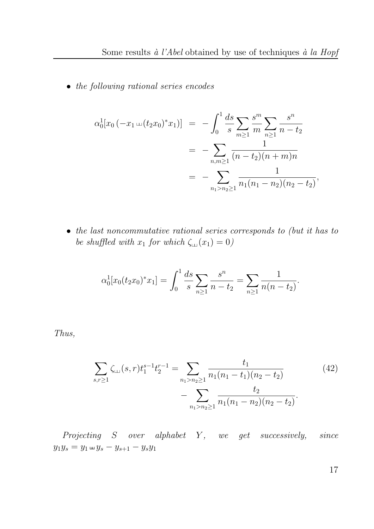• the following rational series encodes

$$
\alpha_0^1[x_0(-x_1\ldots (t_2x_0)^*x_1)] = -\int_0^1 \frac{ds}{s} \sum_{m\geq 1} \frac{s^m}{m} \sum_{n\geq 1} \frac{s^n}{n-t_2}
$$
  
= 
$$
-\sum_{n,m\geq 1} \frac{1}{(n-t_2)(n+m)n}
$$
  
= 
$$
-\sum_{n_1>n_2\geq 1} \frac{1}{n_1(n_1-n_2)(n_2-t_2)},
$$

• the last noncommutative rational series corresponds to (but it has to be shuffled with  $x_1$  for which  $\zeta_{\text{L}}(x_1) = 0$ )

$$
\alpha_0^1[x_0(t_2x_0)^*x_1] = \int_0^1 \frac{ds}{s} \sum_{n \ge 1} \frac{s^n}{n - t_2} = \sum_{n \ge 1} \frac{1}{n(n - t_2)}.
$$

Thus,

$$
\sum_{s,r\geq 1} \zeta_{\text{LJ}}(s,r)t_1^{s-1}t_2^{r-1} = \sum_{n_1>n_2\geq 1} \frac{t_1}{n_1(n_1-t_1)(n_2-t_2)} - \sum_{n_1>n_2\geq 1} \frac{t_2}{n_1(n_1-n_2)(n_2-t_2)}.
$$
\n(42)

 $Projecting S over alphabet Y, we get successively, since$  $y_1y_s = y_1 \oplus y_s - y_{s+1} - y_s y_1$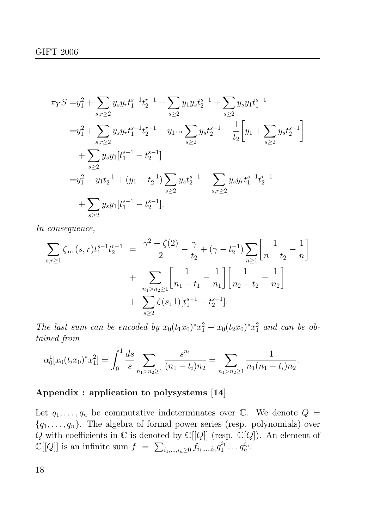$$
\pi_{Y}S = y_{1}^{2} + \sum_{s,r \geq 2} y_{s}y_{r}t_{1}^{s-1}t_{2}^{r-1} + \sum_{s \geq 2} y_{1}y_{s}t_{2}^{s-1} + \sum_{s \geq 2} y_{s}y_{1}t_{1}^{s-1}
$$
\n
$$
= y_{1}^{2} + \sum_{s,r \geq 2} y_{s}y_{r}t_{1}^{s-1}t_{2}^{r-1} + y_{1} \lim_{s \geq 2} y_{s}t_{2}^{s-1} - \frac{1}{t_{2}} \left[ y_{1} + \sum_{s \geq 2} y_{s}t_{2}^{s-1} \right]
$$
\n
$$
+ \sum_{s \geq 2} y_{s}y_{1}[t_{1}^{s-1} - t_{2}^{s-1}]
$$
\n
$$
= y_{1}^{2} - y_{1}t_{2}^{-1} + (y_{1} - t_{2}^{-1}) \sum_{s \geq 2} y_{s}t_{2}^{s-1} + \sum_{s,r \geq 2} y_{s}y_{r}t_{1}^{s-1}t_{2}^{r-1}
$$
\n
$$
+ \sum_{s \geq 2} y_{s}y_{1}[t_{1}^{s-1} - t_{2}^{s-1}].
$$

In consequence,

$$
\sum_{s,r\geq 1} \zeta_{4} (s,r) t_1^{s-1} t_2^{r-1} = \frac{\gamma^2 - \zeta(2)}{2} - \frac{\gamma}{t_2} + (\gamma - t_2^{-1}) \sum_{n\geq 1} \left[ \frac{1}{n - t_2} - \frac{1}{n} \right] + \sum_{n\geq 1} \sum_{n\geq 2} \left[ \frac{1}{n_1 - t_1} - \frac{1}{n_1} \right] \left[ \frac{1}{n_2 - t_2} - \frac{1}{n_2} \right] + \sum_{s\geq 2} \zeta(s,1) [t_1^{s-1} - t_2^{s-1}].
$$

The last sum can be encoded by  $x_0(t_1x_0)^*x_1^2 - x_0(t_2x_0)^*x_1^2$  and can be obtained from

$$
\alpha_0^1[x_0(t_ix_0)^*x_1^2] = \int_0^1 \frac{ds}{s} \sum_{n_1 > n_2 \ge 1} \frac{s^{n_1}}{(n_1 - t_i)n_2} = \sum_{n_1 > n_2 \ge 1} \frac{1}{n_1(n_1 - t_i)n_2}.
$$

# Appendix : application to polysystems [14]

Let  $q_1, \ldots, q_n$  be commutative indeterminates over  $\mathbb{C}$ . We denote  $Q =$  ${q_1, \ldots, q_n}$ . The algebra of formal power series (resp. polynomials) over Q with coefficients in  $\mathbb C$  is denoted by  $\mathbb C[[Q]]$  (resp.  $\mathbb C[\overline{Q}])$ . An element of  $\mathbb{C}[[Q]]$  is an infinite sum  $f = \sum_{i_1,\dots,i_n \geq 0} f_{i_1,\dots,i_n} q_1^{i_1}$  $q_1^{i_1}\ldots q_n^{i_n}.$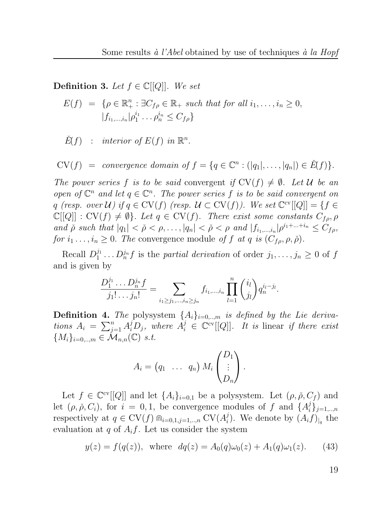**Definition 3.** Let  $f \in \mathbb{C}[[Q]]$ . We set

$$
E(f) = \{ \rho \in \mathbb{R}_+^n : \exists C_{f\rho} \in \mathbb{R}_+ \text{ such that for all } i_1, \dots, i_n \ge 0, |f_{i_1, \dots, i_n}| \rho_1^{i_1} \dots \rho_n^{i_n} \le C_{f\rho} \}
$$

 $\check{E}(f)$  : interior of  $E(f)$  in  $\mathbb{R}^n$ .

 $CV(f) = convergence domain of f = \{q \in \mathbb{C}^n : (|q_1|, \ldots, |q_n|) \in \check{E}(f)\}.$ 

The power series f is to be said convergent if  $CV(f) \neq \emptyset$ . Let U be an open of  $\mathbb{C}^n$  and let  $q \in \mathbb{C}^n$ . The power series f is to be said convergent on q (resp. over  $\mathcal{U}$ ) if  $q \in \mathrm{CV}(f)$  (resp.  $\mathcal{U} \subset \mathrm{CV}(f)$ ). We set  $\mathbb{C}^{\mathrm{cv}}[[Q]] = \{f \in$  $\mathbb{C}[[Q]] : \mathrm{CV}(f) \neq \emptyset$ . Let  $q \in \mathrm{CV}(f)$ . There exist some constants  $C_{f\rho}, \rho$ and  $\check{\rho}$  such that  $|q_1| < \check{\rho} < \rho, \ldots, |q_n| < \check{\rho} < \rho$  and  $|f_{i_1,\ldots,i_n}| \rho^{i_1+\ldots+i_n} \leq C_{f\rho}$ , for  $i_1 \ldots, i_n \geq 0$ . The convergence module of f at q is  $(C_{f\rho}, \rho, \check{\rho})$ .

Recall  $D_1^{j_1}$  $D_1^{j_1} \ldots D_n^{j_n} f$  is the *partial derivation* of order  $j_1, \ldots, j_n \geq 0$  of f and is given by

$$
\frac{D_1^{j_1} \dots D_n^{j_n} f}{j_1! \dots j_n!} = \sum_{i_1 \geq j_1, \dots, i_n \geq j_n} f_{i_1, \dots, i_n} \prod_{l=1}^n {i_l \choose j_l} q_n^{i_l - j_l}.
$$

**Definition 4.** The polysystem  $\{A_i\}_{i=0,\dots,m}$  is defined by the Lie derivations  $A_i = \sum_{j=1}^n A_i^j D_j$ , where  $A_i^j \in \mathbb{C}^{\text{cv}}[[Q]]$ . It is linear if there exist  ${M_i}_{i=0,\dots,m} \in \mathcal{M}_{n,n}(\mathbb{C})$  s.t.

$$
A_i = (q_1 \ \ldots \ q_n) M_i \begin{pmatrix} D_1 \\ \vdots \\ D_n \end{pmatrix}.
$$

Let  $f \in \mathbb{C}^{ev}[[Q]]$  and let  $\{A_i\}_{i=0,1}$  be a polysystem. Let  $(\rho, \check{\rho}, C_f)$  and let  $(\rho, \check{\rho}, C_i)$ , for  $i = 0, 1$ , be convergence modules of f and  $\{A_i^j\}$  $_{i}^{j}\}_{j=1,..,n}$ respectively at  $q \in \mathrm{CV}(f) \bigcap_{i=0,1,j=1,..,n} \mathrm{CV}(A_i^j)$ <sup>*i*</sup><sub>i</sub>). We denote by  $(A_i f)_{|q}$  the evaluation at q of  $A_i f$ . Let us consider the system

$$
y(z) = f(q(z))
$$
, where  $dq(z) = A_0(q)\omega_0(z) + A_1(q)\omega_1(z)$ . (43)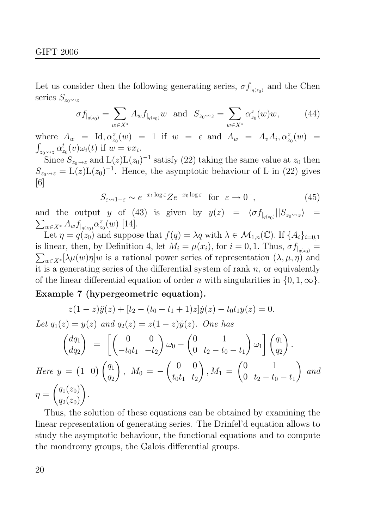Let us consider then the following generating series,  $\sigma f_{|q(z_0)}$  and the Chen series  $S_{z_0\rightsquigarrow z}$ 

$$
\sigma f_{|_{q(z_0)}} = \sum_{w \in X^*} A_w f_{|_{q(z_0)}} w \text{ and } S_{z_0 \to z} = \sum_{w \in X^*} \alpha_{z_0}^z(w) w, \quad (44)
$$

where  $A_w = Id, \alpha_{z_0}^z(w) = 1$  if  $w = \epsilon$  and  $A_w = A_v A_i, \alpha_{z_0}^z(w) =$  $\int_{z_0\rightsquigarrow z} \alpha_z^t$  $t_{z_0}(v)\omega_i(t)$  if  $w=vx_i$ .

Since  $S_{z_0\rightsquigarrow z}$  and  $\text{L}(z)\text{L}(z_0)^{-1}$  satisfy (22) taking the same value at  $z_0$  then  $S_{z_0\rightarrow z} = L(z)L(z_0)^{-1}$ . Hence, the asymptotic behaviour of L in (22) gives [6]

$$
S_{\varepsilon \to 1-\varepsilon} \sim e^{-x_1 \log \varepsilon} Z e^{-x_0 \log \varepsilon} \quad \text{for} \quad \varepsilon \to 0^+, \tag{45}
$$

and the output y of (43) is given by  $y(z) = \langle \sigma f_{|q(z_0)}||S_{z_0\rightsquigarrow z}\rangle =$  $\sum_{w\in X^*}A_wf_{|_{q(z_0)}}\alpha_z^z$  $_{z_0}^{z}(w)$  [14].

Let  $\eta = q(z_0)$  and suppose that  $f(q) = \lambda q$  with  $\lambda \in \mathcal{M}_{1,n}(\mathbb{C})$ . If  $\{A_i\}_{i=0,1}$ is linear, then, by Definition 4, let  $M_i = \mu(x_i)$ , for  $i = 0, 1$ . Thus,  $\sigma f_{|q(z_0)} =$  $\sum_{w\in X^*} [\lambda \mu(w)\eta] w$  is a rational power series of representation  $(\lambda, \mu, \eta)$  and it is a generating series of the differential system of rank  $n$ , or equivalently of the linear differential equation of order n with singularities in  $\{0, 1, \infty\}$ .

# Example 7 (hypergeometric equation).

$$
z(1-z)\ddot{y}(z) + [t_2 - (t_0 + t_1 + 1)z]\dot{y}(z) - t_0t_1y(z) = 0.
$$
  
Let  $q_1(z) = y(z)$  and  $q_2(z) = z(1-z)\dot{y}(z)$ . One has  

$$
\begin{pmatrix} dq_1 \\ dq_2 \end{pmatrix} = \begin{bmatrix} 0 & 0 \\ -t_0t_1 & -t_2 \end{bmatrix} \omega_0 - \begin{pmatrix} 0 & 1 \\ 0 & t_2 - t_0 - t_1 \end{pmatrix} \omega_1 \begin{bmatrix} q_1 \\ q_2 \end{bmatrix}.
$$
  
Here  $y = \begin{pmatrix} 1 & 0 \end{pmatrix} \begin{pmatrix} q_1 \\ q_2 \end{pmatrix}$ ,  $M_0 = -\begin{pmatrix} 0 & 0 \\ t_0t_1 & t_2 \end{pmatrix}$ ,  $M_1 = \begin{pmatrix} 0 & 1 \\ 0 & t_2 - t_0 - t_1 \end{pmatrix}$  and  
 $\eta = \begin{pmatrix} q_1(z_0) \\ q_2(z_0) \end{pmatrix}.$ 

Thus, the solution of these equations can be obtained by examining the linear representation of generating series. The Drinfel'd equation allows to study the asymptotic behaviour, the functional equations and to compute the mondromy groups, the Galois differential groups.